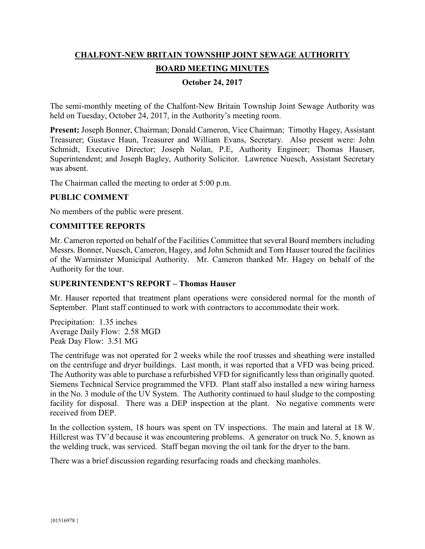# **CHALFONT-NEW BRITAIN TOWNSHIP JOINT SEWAGE AUTHORITY BOARD MEETING MINUTES**

## **October 24, 2017**

The semi-monthly meeting of the Chalfont-New Britain Township Joint Sewage Authority was held on Tuesday, October 24, 2017, in the Authority's meeting room.

**Present:** Joseph Bonner, Chairman; Donald Cameron, Vice Chairman; Timothy Hagey, Assistant Treasurer; Gustave Haun, Treasurer and William Evans, Secretary. Also present were: John Schmidt, Executive Director; Joseph Nolan, P.E, Authority Engineer; Thomas Hauser, Superintendent; and Joseph Bagley, Authority Solicitor. Lawrence Nuesch, Assistant Secretary was absent.

The Chairman called the meeting to order at 5:00 p.m.

#### **PUBLIC COMMENT**

No members of the public were present.

#### **COMMITTEE REPORTS**

Mr. Cameron reported on behalf of the Facilities Committee that several Board members including Messrs. Bonner, Nuesch, Cameron, Hagey, and John Schmidt and Tom Hauser toured the facilities of the Warminster Municipal Authority. Mr. Cameron thanked Mr. Hagey on behalf of the Authority for the tour.

#### **SUPERINTENDENT'S REPORT – Thomas Hauser**

Mr. Hauser reported that treatment plant operations were considered normal for the month of September. Plant staff continued to work with contractors to accommodate their work.

Precipitation: 1.35 inches Average Daily Flow: 2.58 MGD Peak Day Flow: 3.51 MG

The centrifuge was not operated for 2 weeks while the roof trusses and sheathing were installed on the centrifuge and dryer buildings. Last month, it was reported that a VFD was being priced. The Authority was able to purchase a refurbished VFD for significantly less than originally quoted. Siemens Technical Service programmed the VFD. Plant staff also installed a new wiring harness in the No. 3 module of the UV System. The Authority continued to haul sludge to the composting facility for disposal. There was a DEP inspection at the plant. No negative comments were received from DEP.

In the collection system, 18 hours was spent on TV inspections. The main and lateral at 18 W. Hillcrest was TV'd because it was encountering problems. A generator on truck No. 5, known as the welding truck, was serviced. Staff began moving the oil tank for the dryer to the barn.

There was a brief discussion regarding resurfacing roads and checking manholes.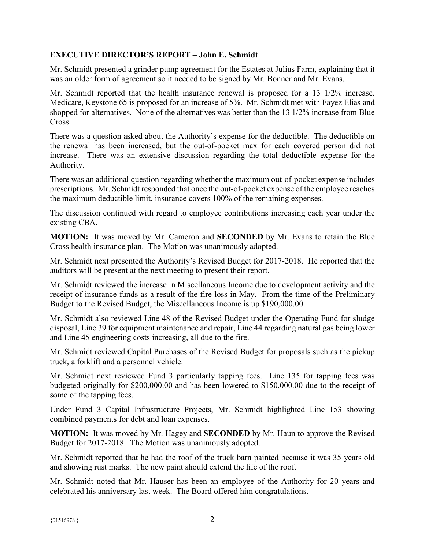## **EXECUTIVE DIRECTOR'S REPORT – John E. Schmidt**

Mr. Schmidt presented a grinder pump agreement for the Estates at Julius Farm, explaining that it was an older form of agreement so it needed to be signed by Mr. Bonner and Mr. Evans.

Mr. Schmidt reported that the health insurance renewal is proposed for a 13 1/2% increase. Medicare, Keystone 65 is proposed for an increase of 5%. Mr. Schmidt met with Fayez Elias and shopped for alternatives. None of the alternatives was better than the 13 1/2% increase from Blue Cross.

There was a question asked about the Authority's expense for the deductible. The deductible on the renewal has been increased, but the out-of-pocket max for each covered person did not increase. There was an extensive discussion regarding the total deductible expense for the Authority.

There was an additional question regarding whether the maximum out-of-pocket expense includes prescriptions. Mr. Schmidt responded that once the out-of-pocket expense of the employee reaches the maximum deductible limit, insurance covers 100% of the remaining expenses.

The discussion continued with regard to employee contributions increasing each year under the existing CBA.

**MOTION:** It was moved by Mr. Cameron and **SECONDED** by Mr. Evans to retain the Blue Cross health insurance plan. The Motion was unanimously adopted.

Mr. Schmidt next presented the Authority's Revised Budget for 2017-2018. He reported that the auditors will be present at the next meeting to present their report.

Mr. Schmidt reviewed the increase in Miscellaneous Income due to development activity and the receipt of insurance funds as a result of the fire loss in May. From the time of the Preliminary Budget to the Revised Budget, the Miscellaneous Income is up \$190,000.00.

Mr. Schmidt also reviewed Line 48 of the Revised Budget under the Operating Fund for sludge disposal, Line 39 for equipment maintenance and repair, Line 44 regarding natural gas being lower and Line 45 engineering costs increasing, all due to the fire.

Mr. Schmidt reviewed Capital Purchases of the Revised Budget for proposals such as the pickup truck, a forklift and a personnel vehicle.

Mr. Schmidt next reviewed Fund 3 particularly tapping fees. Line 135 for tapping fees was budgeted originally for \$200,000.00 and has been lowered to \$150,000.00 due to the receipt of some of the tapping fees.

Under Fund 3 Capital Infrastructure Projects, Mr. Schmidt highlighted Line 153 showing combined payments for debt and loan expenses.

**MOTION:** It was moved by Mr. Hagey and **SECONDED** by Mr. Haun to approve the Revised Budget for 2017-2018. The Motion was unanimously adopted.

Mr. Schmidt reported that he had the roof of the truck barn painted because it was 35 years old and showing rust marks. The new paint should extend the life of the roof.

Mr. Schmidt noted that Mr. Hauser has been an employee of the Authority for 20 years and celebrated his anniversary last week. The Board offered him congratulations.